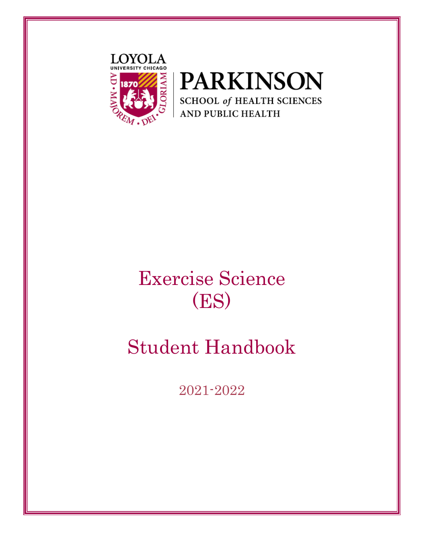



# Exercise Science (ES)

# Student Handbook

2021-2022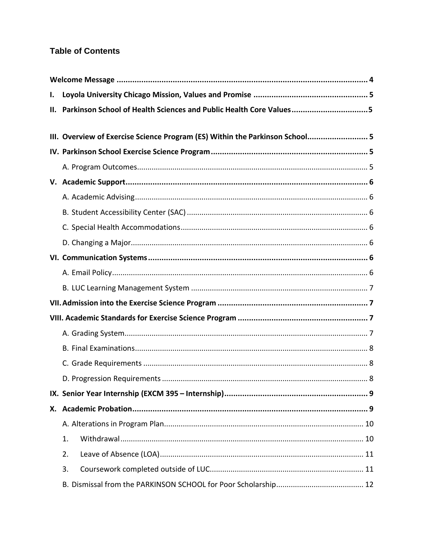## **Table of Contents**

| I. |                                                                              |  |  |  |
|----|------------------------------------------------------------------------------|--|--|--|
| Ш. | Parkinson School of Health Sciences and Public Health Core Values5           |  |  |  |
|    |                                                                              |  |  |  |
|    | III. Overview of Exercise Science Program (ES) Within the Parkinson School 5 |  |  |  |
|    |                                                                              |  |  |  |
|    |                                                                              |  |  |  |
|    |                                                                              |  |  |  |
|    |                                                                              |  |  |  |
|    |                                                                              |  |  |  |
|    |                                                                              |  |  |  |
|    |                                                                              |  |  |  |
|    |                                                                              |  |  |  |
|    |                                                                              |  |  |  |
|    |                                                                              |  |  |  |
|    |                                                                              |  |  |  |
|    |                                                                              |  |  |  |
|    |                                                                              |  |  |  |
|    |                                                                              |  |  |  |
|    |                                                                              |  |  |  |
|    |                                                                              |  |  |  |
|    |                                                                              |  |  |  |
|    |                                                                              |  |  |  |
|    |                                                                              |  |  |  |
|    | 1.                                                                           |  |  |  |
|    | 2.                                                                           |  |  |  |
|    | 3.                                                                           |  |  |  |
|    |                                                                              |  |  |  |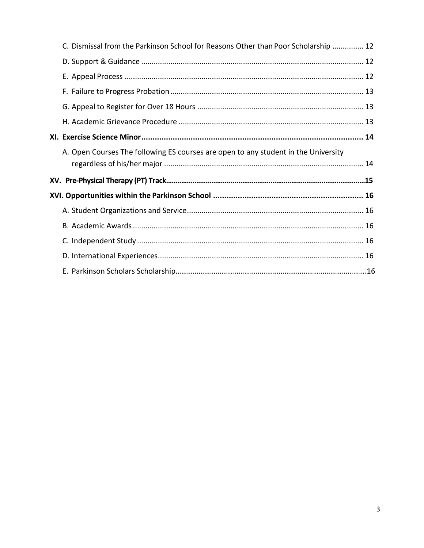|  | C. Dismissal from the Parkinson School for Reasons Other than Poor Scholarship  12 |  |
|--|------------------------------------------------------------------------------------|--|
|  |                                                                                    |  |
|  |                                                                                    |  |
|  |                                                                                    |  |
|  |                                                                                    |  |
|  |                                                                                    |  |
|  |                                                                                    |  |
|  | A. Open Courses The following ES courses are open to any student in the University |  |
|  |                                                                                    |  |
|  |                                                                                    |  |
|  |                                                                                    |  |
|  |                                                                                    |  |
|  |                                                                                    |  |
|  |                                                                                    |  |
|  |                                                                                    |  |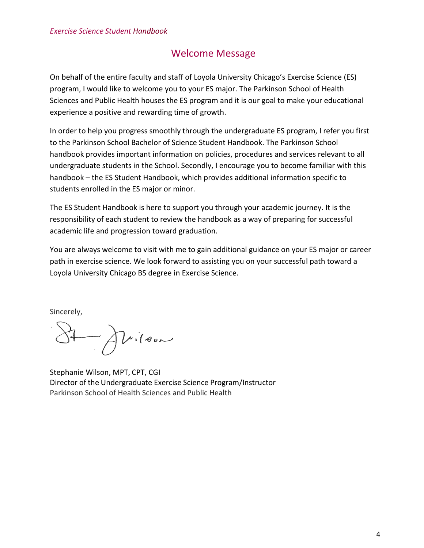# Welcome Message

<span id="page-3-0"></span>On behalf of the entire faculty and staff of Loyola University Chicago's Exercise Science (ES) program, I would like to welcome you to your ES major. The Parkinson School of Health Sciences and Public Health houses the ES program and it is our goal to make your educational experience a positive and rewarding time of growth.

In order to help you progress smoothly through the undergraduate ES program, I refer you first to the Parkinson School Bachelor of Science Student Handbook. The Parkinson School handbook provides important information on policies, procedures and services relevant to all undergraduate students in the School. Secondly, I encourage you to become familiar with this handbook – the ES Student Handbook, which provides additional information specific to students enrolled in the ES major or minor.

The ES Student Handbook is here to support you through your academic journey. It is the responsibility of each student to review the handbook as a way of preparing for successful academic life and progression toward graduation.

You are always welcome to visit with me to gain additional guidance on your ES major or career path in exercise science. We look forward to assisting you on your successful path toward a Loyola University Chicago BS degree in Exercise Science.

Sincerely,

 $\Delta\nu$ ilson

Stephanie Wilson, MPT, CPT, CGI Director of the Undergraduate Exercise Science Program/Instructor Parkinson School of Health Sciences and Public Health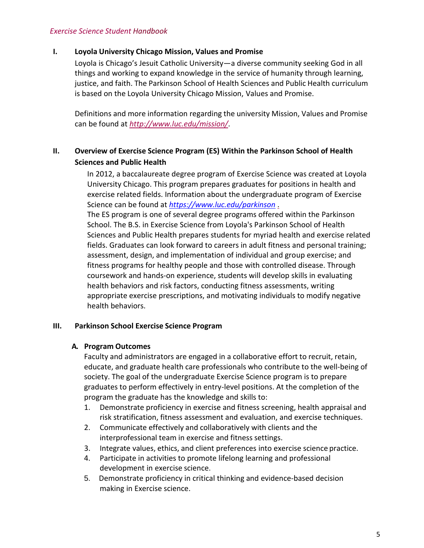## <span id="page-4-0"></span>**I. Loyola University Chicago Mission, Values and Promise**

Loyola is Chicago's Jesuit Catholic University—a diverse community seeking God in all things and working to expand knowledge in the service of humanity through learning, justice, and faith. The Parkinson School of Health Sciences and Public Health curriculum is based on the Loyola University Chicago Mission, Values and Promise.

Definitions and more information regarding the university Mission, Values and Promise can be found at *<http://www.luc.edu/mission/>*.

## **II. Overview of Exercise Science Program (ES) Within the Parkinson School of Health Sciences and Public Health**

In 2012, a baccalaureate degree program of Exercise Science was created at Loyola University Chicago. This program prepares graduates for positions in health and exercise related fields. Information about the undergraduate program of Exercise Science can be found at *[https://www.luc.edu/parkinson](http://www.luc.edu/parkinson)* .

The ES program is one of several degree programs offered within the Parkinson School. The B.S. in Exercise Science from Loyola's Parkinson School of Health Sciences and Public Health prepares students for myriad health and exercise related fields. Graduates can look forward to careers in adult fitness and personal training; assessment, design, and implementation of individual and group exercise; and fitness programs for healthy people and those with controlled disease. Through coursework and hands‐on experience, students will develop skills in evaluating health behaviors and risk factors, conducting fitness assessments, writing appropriate exercise prescriptions, and motivating individuals to modify negative health behaviors.

#### <span id="page-4-1"></span>**III. Parkinson School Exercise Science Program**

## **A. Program Outcomes**

Faculty and administrators are engaged in a collaborative effort to recruit, retain, educate, and graduate health care professionals who contribute to the well‐being of society. The goal of the undergraduate Exercise Science program is to prepare graduates to perform effectively in entry-level positions. At the completion of the program the graduate has the knowledge and skills to:

- 1. Demonstrate proficiency in exercise and fitness screening, health appraisal and risk stratification, fitness assessment and evaluation, and exercise techniques.
- 2. Communicate effectively and collaboratively with clients and the interprofessional team in exercise and fitness settings.
- 3. Integrate values, ethics, and client preferences into exercise science practice.
- 4. Participate in activities to promote lifelong learning and professional development in exercise science.
- 5. Demonstrate proficiency in critical thinking and evidence‐based decision making in Exercise science.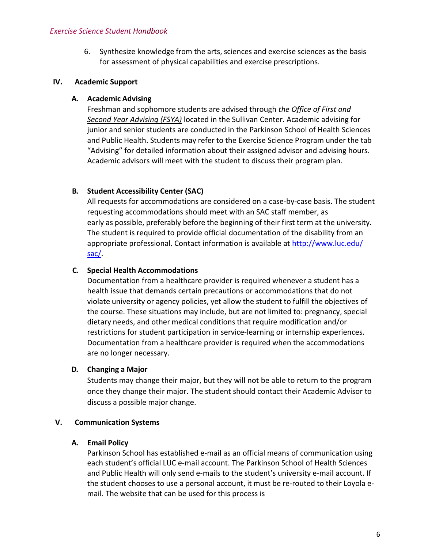6. Synthesize knowledge from the arts, sciences and exercise sciences as the basis for assessment of physical capabilities and exercise prescriptions.

## <span id="page-5-0"></span>**IV. Academic Support**

## **A. Academic Advising**

Freshman and sophomore students are advised through *the Office of First and Second Year Advising (FSYA)* located in the Sullivan Center. Academic advising for junior and senior students are conducted in the Parkinson School of Health Sciences and Public Health. Students may refer to the Exercise Science Program under the tab "Advising" for detailed information about their assigned advisor and advising hours. Academic advisors will meet with the student to discuss their program plan.

## <span id="page-5-1"></span>**B. Student Accessibility Center (SAC)**

All requests for accommodations are considered on a case‐by‐case basis. The student requesting accommodations should meet with an SAC staff member, as early as possible, preferably before the beginning of their first term at the university. The student is required to provide official documentation of the disability from an appropriate professional. Contact information is available at<http://www.luc.edu/> sac/.

## <span id="page-5-2"></span>**C. Special Health Accommodations**

Documentation from a healthcare provider is required whenever a student has a health issue that demands certain precautions or accommodations that do not violate university or agency policies, yet allow the student to fulfill the objectives of the course. These situations may include, but are not limited to: pregnancy, special dietary needs, and other medical conditions that require modification and/or restrictions for student participation in service-learning or internship experiences. Documentation from a healthcare provider is required when the accommodations are no longer necessary.

## <span id="page-5-3"></span>**D. Changing a Major**

Students may change their major, but they will not be able to return to the program once they change their major. The student should contact their Academic Advisor to discuss a possible major change.

## <span id="page-5-4"></span>**V. Communication Systems**

#### **A. Email Policy**

Parkinson School has established e‐mail as an official means of communication using each student's official LUC e-mail account. The Parkinson School of Health Sciences and Public Health will only send e-mails to the student's university e-mail account. If the student chooses to use a personal account, it must be re-routed to their Loyola email. The website that can be used for this process is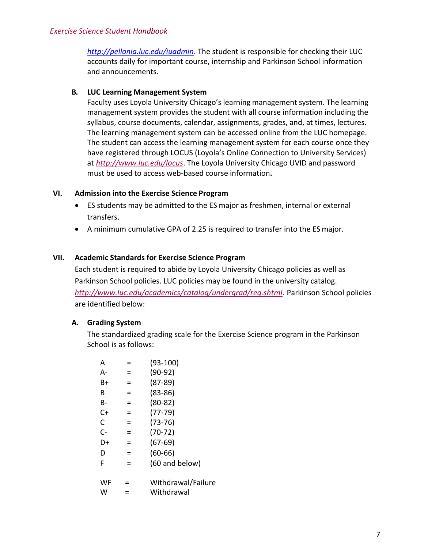*<http://pellonia.luc.edu/iuadmin>*. The student is responsible for checking their LUC accounts daily for important course, internship and Parkinson School information and announcements.

## <span id="page-6-0"></span>**B. LUC Learning Management System**

Faculty uses Loyola University Chicago's learning management system. The learning management system provides the student with all course information including the syllabus, course documents, calendar, assignments, grades, and, at times, lectures. The learning management system can be accessed online from the LUC homepage. The student can access the learning management system for each course once they have registered through LOCUS (Loyola's Online Connection to University Services) at *<http://www.luc.edu/locus>*. The Loyola University Chicago UVID and password must be used to access web‐based course information**.**

## **VI. Admission into the Exercise Science Program**

- ES students may be admitted to the ES major as freshmen, internal or external transfers.
- A minimum cumulative GPA of 2.25 is required to transfer into the ES major.

## **VII. Academic Standards for Exercise Science Program**

Each student is required to abide by Loyola University Chicago policies as well as Parkinson School policies. LUC policies may be found in the university catalog. *<http://www.luc.edu/academics/catalog/undergrad/reg.shtml>*. Parkinson School policies are identified below:

## <span id="page-6-1"></span>**A. Grading System**

The standardized grading scale for the Exercise Science program in the Parkinson School is as follows:

| А  |   | $(93-100)$         |
|----|---|--------------------|
| А- |   | $(90-92)$          |
| B+ | ⋍ | $(87-89)$          |
| R  | = | $(83 - 86)$        |
| В- |   | $(80-82)$          |
| C+ | = | $(77-79)$          |
| C  |   | $(73-76)$          |
| C- | = | $(70-72)$          |
| D+ |   | (67-69)            |
| D  |   | $(60-66)$          |
| F  |   | (60 and below)     |
| WF |   | Withdrawal/Failure |
| w  |   | Withdrawal         |
|    |   |                    |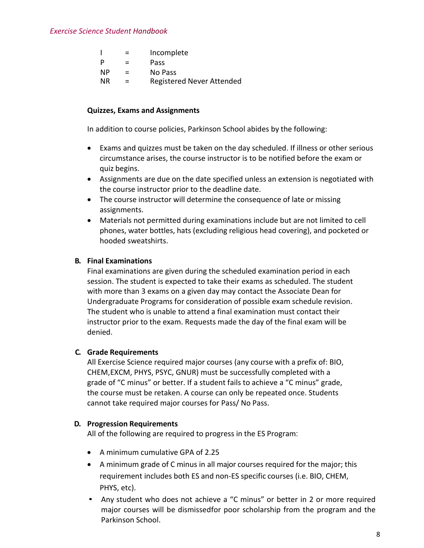|    | $\equiv$ | Incomplete                       |
|----|----------|----------------------------------|
| P  | $\equiv$ | Pass                             |
| ΝP | $=$      | No Pass                          |
| ΝR | $\equiv$ | <b>Registered Never Attended</b> |

#### **Quizzes, Exams and Assignments**

In addition to course policies, Parkinson School abides by the following:

- Exams and quizzes must be taken on the day scheduled. If illness or other serious circumstance arises, the course instructor is to be notified before the exam or quiz begins.
- Assignments are due on the date specified unless an extension is negotiated with the course instructor prior to the deadline date.
- The course instructor will determine the consequence of late or missing assignments.
- Materials not permitted during examinations include but are not limited to cell phones, water bottles, hats (excluding religious head covering), and pocketed or hooded sweatshirts.

#### <span id="page-7-0"></span>**B. Final Examinations**

Final examinations are given during the scheduled examination period in each session. The student is expected to take their exams as scheduled. The student with more than 3 exams on a given day may contact the Associate Dean for Undergraduate Programs for consideration of possible exam schedule revision. The student who is unable to attend a final examination must contact their instructor prior to the exam. Requests made the day of the final exam will be denied.

#### <span id="page-7-1"></span>**C. Grade Requirements**

All Exercise Science required major courses (any course with a prefix of: BIO, CHEM,EXCM, PHYS, PSYC, GNUR) must be successfully completed with a grade of "C minus" or better. If a student fails to achieve a "C minus" grade, the course must be retaken. A course can only be repeated once. Students cannot take required major courses for Pass/ No Pass.

#### <span id="page-7-2"></span>**D. Progression Requirements**

All of the following are required to progress in the ES Program:

- A minimum cumulative GPA of 2.25
- A minimum grade of C minus in all major courses required for the major; this requirement includes both ES and non‐ES specific courses (i.e. BIO, CHEM, PHYS, etc).
- Any student who does not achieve a "C minus" or better in 2 or more required major courses will be dismissed for poor scholarship from the program and the Parkinson School.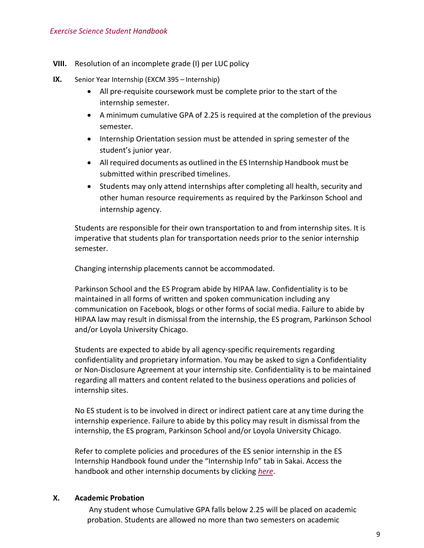**VIII.** Resolution of an incomplete grade (I) per LUC policy

- **IX.** Senior Year Internship (EXCM 395 Internship)
	- All pre-requisite coursework must be complete prior to the start of the internship semester.
	- A minimum cumulative GPA of 2.25 is required at the completion of the previous semester.
	- Internship Orientation session must be attended in spring semester of the student's junior year.
	- All required documents as outlined in the ES Internship Handbook must be submitted within prescribed timelines.
	- Students may only attend internships after completing all health, security and other human resource requirements as required by the Parkinson School and internship agency.

Students are responsible for their own transportation to and from internship sites. It is imperative that students plan for transportation needs prior to the senior internship semester.

Changing internship placements cannot be accommodated.

Parkinson School and the ES Program abide by HIPAA law. Confidentiality is to be maintained in all forms of written and spoken communication including any communication on Facebook, blogs or other forms of social media. Failure to abide by HIPAA law may result in dismissal from the internship, the ES program, Parkinson School and/or Loyola University Chicago.

Students are expected to abide by all agency‐specific requirements regarding confidentiality and proprietary information. You may be asked to sign a Confidentiality or Non‐Disclosure Agreement at your internship site. Confidentiality is to be maintained regarding all matters and content related to the business operations and policies of internship sites.

No ES student is to be involved in direct or indirect patient care at any time during the internship experience. Failure to abide by this policy may result in dismissal from the internship, the ES program, Parkinson School and/or Loyola University Chicago.

Refer to complete policies and procedures of the ES senior internship in the ES Internship Handbook found under the "Internship Info" tab in Sakai. Access the handbook and other internship documents by clicking *here*.

#### **X. Academic Probation**

Any student whose Cumulative GPA falls below 2.25 will be placed on academic probation. Students are allowed no more than two semesters on academic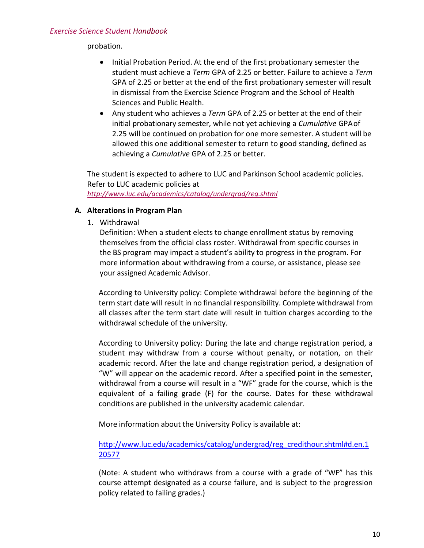probation.

- Initial Probation Period. At the end of the first probationary semester the student must achieve a *Term* GPA of 2.25 or better. Failure to achieve a *Term* GPA of 2.25 or better at the end of the first probationary semester will result in dismissal from the Exercise Science Program and the School of Health Sciences and Public Health.
- Any student who achieves a *Term* GPA of 2.25 or better at the end of their initial probationary semester, while not yet achieving a *Cumulative* GPAof 2.25 will be continued on probation for one more semester. A student will be allowed this one additional semester to return to good standing, defined as achieving a *Cumulative* GPA of 2.25 or better.

The student is expected to adhere to LUC and Parkinson School academic policies. Refer to LUC academic policies at *<http://www.luc.edu/academics/catalog/undergrad/reg.shtml>*

## <span id="page-9-0"></span>**A. Alterations in Program Plan**

1. Withdrawal

Definition: When a student elects to change enrollment status by removing themselves from the official class roster. Withdrawal from specific courses in the BS program may impact a student's ability to progress in the program. For more information about withdrawing from a course, or assistance, please see your assigned Academic Advisor.

According to University policy: Complete withdrawal before the beginning of the term start date will result in no financial responsibility. Complete withdrawal from all classes after the term start date will result in tuition charges according to the withdrawal schedule of the university.

According to University policy: During the late and change registration period, a student may withdraw from a course without penalty, or notation, on their academic record. After the late and change registration period, a designation of "W" will appear on the academic record. After a specified point in the semester, withdrawal from a course will result in a "WF" grade for the course, which is the equivalent of a failing grade (F) for the course. Dates for these withdrawal conditions are published in the university academic calendar.

More information about the University Policy is available at:

[http://www.luc.edu/academics/catalog/undergrad/reg\\_credithour.shtml#d.en.1](http://www.luc.edu/academics/catalog/undergrad/reg_credithour.shtml#d.en.120577) [20577](http://www.luc.edu/academics/catalog/undergrad/reg_credithour.shtml#d.en.120577)

(Note: A student who withdraws from a course with a grade of "WF" has this course attempt designated as a course failure, and is subject to the progression policy related to failing grades.)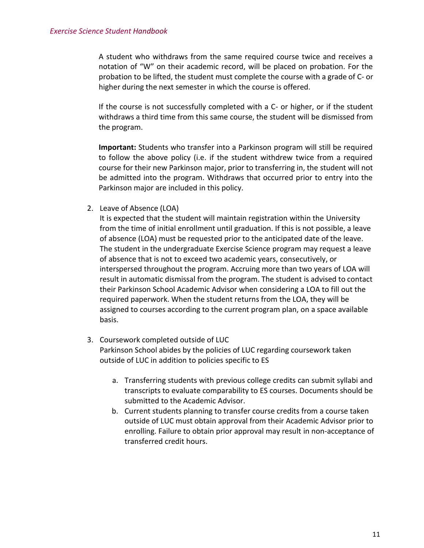A student who withdraws from the same required course twice and receives a notation of "W" on their academic record, will be placed on probation. For the probation to be lifted, the student must complete the course with a grade of C- or higher during the next semester in which the course is offered.

If the course is not successfully completed with a C- or higher, or if the student withdraws a third time from this same course, the student will be dismissed from the program.

**Important:** Students who transfer into a Parkinson program will still be required to follow the above policy (i.e. if the student withdrew twice from a required course for their new Parkinson major, prior to transferring in, the student will not be admitted into the program. Withdraws that occurred prior to entry into the Parkinson major are included in this policy.

2. Leave of Absence (LOA)

It is expected that the student will maintain registration within the University from the time of initial enrollment until graduation. If this is not possible, a leave of absence (LOA) must be requested prior to the anticipated date of the leave. The student in the undergraduate Exercise Science program may request a leave of absence that is not to exceed two academic years, consecutively, or interspersed throughout the program. Accruing more than two years of LOA will result in automatic dismissal from the program. The student is advised to contact their Parkinson School Academic Advisor when considering a LOA to fill out the required paperwork. When the student returns from the LOA, they will be assigned to courses according to the current program plan, on a space available basis.

- 3. Coursework completed outside of LUC Parkinson School abides by the policies of LUC regarding coursework taken outside of LUC in addition to policies specific to ES
	- a. Transferring students with previous college credits can submit syllabi and transcripts to evaluate comparability to ES courses. Documents should be submitted to the Academic Advisor.
	- b. Current students planning to transfer course credits from a course taken outside of LUC must obtain approval from their Academic Advisor prior to enrolling. Failure to obtain prior approval may result in non‐acceptance of transferred credit hours.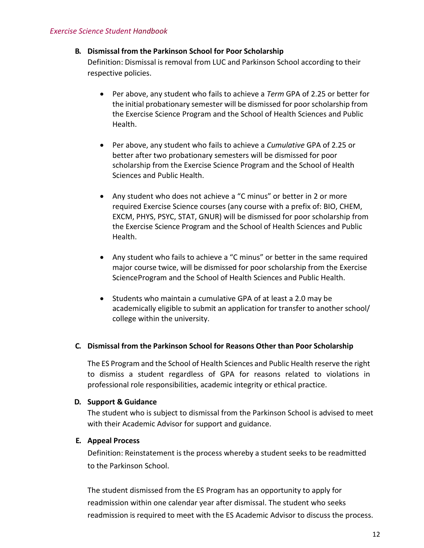## <span id="page-11-0"></span>**B. Dismissal from the Parkinson School for Poor Scholarship**

Definition: Dismissal is removal from LUC and Parkinson School according to their respective policies.

- Per above, any student who fails to achieve a *Term* GPA of 2.25 or better for the initial probationary semester will be dismissed for poor scholarship from the Exercise Science Program and the School of Health Sciences and Public Health.
- Per above, any student who fails to achieve a *Cumulative* GPA of 2.25 or better after two probationary semesters will be dismissed for poor scholarship from the Exercise Science Program and the School of Health Sciences and Public Health.
- Any student who does not achieve a "C minus" or better in 2 or more required Exercise Science courses (any course with a prefix of: BIO, CHEM, EXCM, PHYS, PSYC, STAT, GNUR) will be dismissed for poor scholarship from the Exercise Science Program and the School of Health Sciences and Public Health.
- Any student who fails to achieve a "C minus" or better in the same required major course twice, will be dismissed for poor scholarship from the Exercise ScienceProgram and the School of Health Sciences and Public Health.
- Students who maintain a cumulative GPA of at least a 2.0 may be academically eligible to submit an application for transfer to another school/ college within the university.

## <span id="page-11-1"></span>**C. Dismissal from the Parkinson School for Reasons Other than Poor Scholarship**

The ES Program and the School of Health Sciences and Public Health reserve the right to dismiss a student regardless of GPA for reasons related to violations in professional role responsibilities, academic integrity or ethical practice.

#### <span id="page-11-2"></span>**D. Support & Guidance**

The student who is subject to dismissal from the Parkinson School is advised to meet with their Academic Advisor for support and guidance.

## <span id="page-11-3"></span>**E. Appeal Process**

Definition: Reinstatement is the process whereby a student seeks to be readmitted to the Parkinson School.

The student dismissed from the ES Program has an opportunity to apply for readmission within one calendar year after dismissal. The student who seeks readmission is required to meet with the ES Academic Advisor to discuss the process.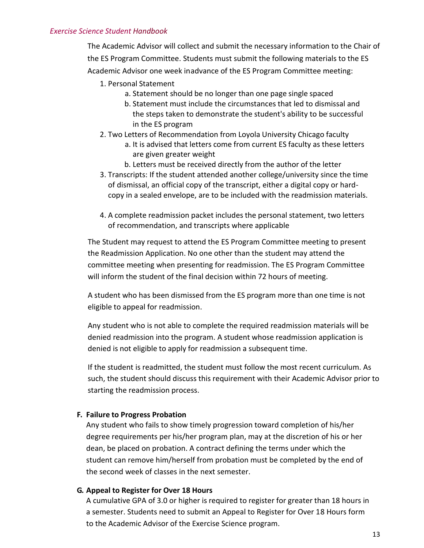#### *Exercise Science Student Handbook*

The Academic Advisor will collect and submit the necessary information to the Chair of the ES Program Committee. Students must submit the following materials to the ES Academic Advisor one week inadvance of the ES Program Committee meeting:

- 1. Personal Statement
	- a. Statement should be no longer than one page single spaced
	- b. Statement must include the circumstances that led to dismissal and the steps taken to demonstrate the student's ability to be successful in the ES program
- 2. Two Letters of Recommendation from Loyola University Chicago faculty
	- a. It is advised that letters come from current ES faculty as these letters are given greater weight
		- b. Letters must be received directly from the author of the letter
- 3. Transcripts: If the student attended another college/university since the time of dismissal, an official copy of the transcript, either a digital copy or hardcopy in a sealed envelope, are to be included with the readmission materials.
- 4. A complete readmission packet includes the personal statement, two letters of recommendation, and transcripts where applicable

The Student may request to attend the ES Program Committee meeting to present the Readmission Application. No one other than the student may attend the committee meeting when presenting for readmission. The ES Program Committee will inform the student of the final decision within 72 hours of meeting.

A student who has been dismissed from the ES program more than one time is not eligible to appeal for readmission.

<span id="page-12-0"></span>Any student who is not able to complete the required readmission materials will be denied readmission into the program. A student whose readmission application is denied is not eligible to apply for readmission a subsequent time.

If the student is readmitted, the student must follow the most recent curriculum. As such, the student should discuss this requirement with their Academic Advisor prior to starting the readmission process.

#### <span id="page-12-1"></span>**F. Failure to Progress Probation**

Any student who fails to show timely progression toward completion of his/her degree requirements per his/her program plan, may at the discretion of his or her dean, be placed on probation. A contract defining the terms under which the student can remove him/herself from probation must be completed by the end of the second week of classes in the next semester.

#### <span id="page-12-2"></span>**G. Appeal to Register for Over 18 Hours**

A cumulative GPA of 3.0 or higher is required to register for greater than 18 hours in a semester. Students need to submit an Appeal to Register for Over 18 Hours form to the Academic Advisor of the Exercise Science program.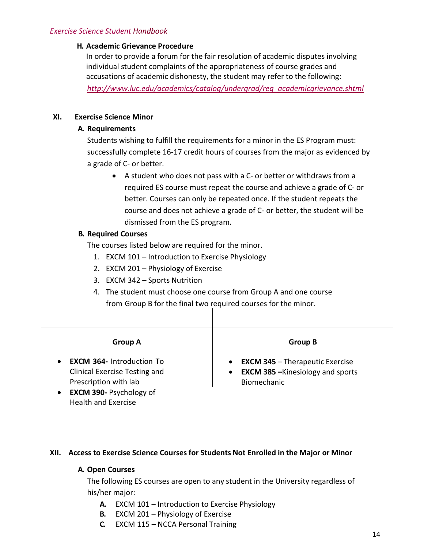## **H. Academic Grievance Procedure**

In order to provide a forum for the fair resolution of academic disputes involving individual student complaints of the appropriateness of course grades and accusations of academic dishonesty, the student may refer to the following:

*[http://www.luc.edu/academics/catalog/undergrad/reg\\_academicgrievance.shtml](http://www.luc.edu/academics/catalog/undergrad/reg_academicgrievance.shtml)*

## **XI. Exercise Science Minor**

## **A. Requirements**

Students wishing to fulfill the requirements for a minor in the ES Program must: successfully complete 16-17 credit hours of courses from the major as evidenced by a grade of C‐ or better.

● A student who does not pass with a C- or better or withdraws from a required ES course must repeat the course and achieve a grade of C‐ or better. Courses can only be repeated once. If the student repeats the course and does not achieve a grade of C‐ or better, the student will be dismissed from the ES program.

## **B. Required Courses**

The courses listed below are required for the minor.

- 1. EXCM 101 Introduction to Exercise Physiology
- 2. EXCM 201 Physiology of Exercise
- 3. EXCM 342 Sports Nutrition
- 4. The student must choose one course from Group A and one course from Group B for the final two required courses for the minor.

| <b>Group A</b>                                                                                                                                                                      | <b>Group B</b>                                                                                                              |
|-------------------------------------------------------------------------------------------------------------------------------------------------------------------------------------|-----------------------------------------------------------------------------------------------------------------------------|
| <b>EXCM 364-</b> Introduction To<br>$\bullet$<br>Clinical Exercise Testing and<br>Prescription with lab<br><b>EXCM 390-Psychology of</b><br>$\bullet$<br><b>Health and Exercise</b> | <b>EXCM 345 - Therapeutic Exercise</b><br>$\bullet$<br><b>EXCM 385 - Kinesiology and sports</b><br>$\bullet$<br>Biomechanic |

## **XII. Access to Exercise Science Courses for Students Not Enrolled in the Major or Minor**

## **A. Open Courses**

The following ES courses are open to any student in the University regardless of his/her major:

- **A.** EXCM 101 Introduction to Exercise Physiology
- **B.** EXCM 201 Physiology of Exercise
- **C.** EXCM 115 NCCA Personal Training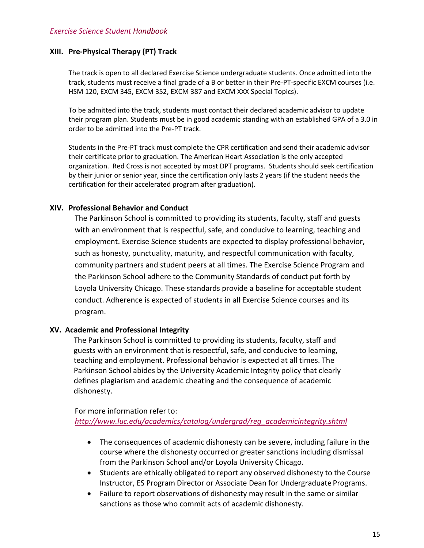#### **XIII. Pre-Physical Therapy (PT) Track**

The track is open to all declared Exercise Science undergraduate students. Once admitted into the track, students must receive a final grade of a B or better in their Pre-PT-specific EXCM courses (i.e. HSM 120, EXCM 345, EXCM 352, EXCM 387 and EXCM XXX Special Topics).

To be admitted into the track, students must contact their declared academic advisor to update their program plan. Students must be in good academic standing with an established GPA of a 3.0 in order to be admitted into the Pre-PT track.

Students in the Pre-PT track must complete the CPR certification and send their academic advisor their certificate prior to graduation. The American Heart Association is the only accepted organization. Red Cross is not accepted by most DPT programs. Students should seek certification by their junior or senior year, since the certification only lasts 2 years (if the student needs the certification for their accelerated program after graduation).

#### **XIV. Professional Behavior and Conduct**

The Parkinson School is committed to providing its students, faculty, staff and guests with an environment that is respectful, safe, and conducive to learning, teaching and employment. Exercise Science students are expected to display professional behavior, such as honesty, punctuality, maturity, and respectful communication with faculty, community partners and student peers at all times. The Exercise Science Program and the Parkinson School adhere to the Community Standards of conduct put forth by Loyola University Chicago. These standards provide a baseline for acceptable student conduct. Adherence is expected of students in all Exercise Science courses and its program.

#### **XV. Academic and Professional Integrity**

The Parkinson School is committed to providing its students, faculty, staff and guests with an environment that is respectful, safe, and conducive to learning, teaching and employment. Professional behavior is expected at all times. The Parkinson School abides by the University Academic Integrity policy that clearly defines plagiarism and academic cheating and the consequence of academic dishonesty.

## For more information refer to:

*[http://www.luc.edu/academics/catalog/undergrad/reg\\_academicintegrity.shtml](http://www.luc.edu/academics/catalog/undergrad/reg_academicintegrity.shtml)*

- The consequences of academic dishonesty can be severe, including failure in the course where the dishonesty occurred or greater sanctions including dismissal from the Parkinson School and/or Loyola University Chicago.
- Students are ethically obligated to report any observed dishonesty to the Course Instructor, ES Program Director or Associate Dean for Undergraduate Programs.
- Failure to report observations of dishonesty may result in the same or similar sanctions as those who commit acts of academic dishonesty.